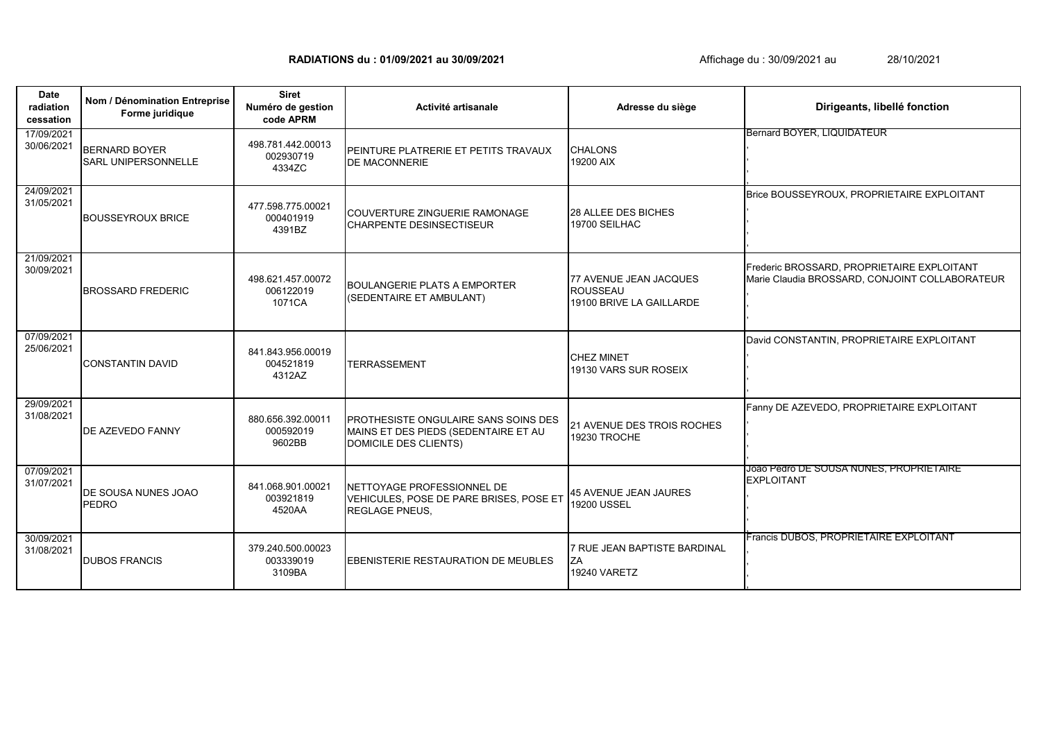**RADIATIONS du : 01/09/2021 au 30/09/2021 Affichage du : 30/09/2021 au 20/09/2021** au

**Date radiation cessation Activité artisanale** 17/09/2021 PEINTURE PLATRERIE ET PETITS TRAVAUX DE MACONNERIE 24/09/2021 31/05/2021 COUVERTURE ZINGUERIE RAMONAGE CHARPENTE DESINSECTISEUR 21/09/2021 30/09/2021 BOULANGERIE PLATS A EMPORTER (SEDENTAIRE ET AMBULANT) 07/09/2021 25/06/2021 TERRASSEMENT 29/09/2021<br>31/08/2021 **PROTHESISTE ONGULAIRE SANS SOINS DES** MAINS ET DES PIEDS (SEDENTAIRE ET AU DOMICILE DES CLIENTS) 07/09/2021<br>31/07/2021 NETTOYAGE PROFESSIONNEL DE VEHICULES, POSE DE PARE BRISES, POSE ET REGLAGE PNEUS, 30/09/2021 31/08/2021 EBENISTERIE RESTAURATION DE MEUBLES **Nom / Dénomination Entreprise Forme juridique Siret Numéro de gestion code APRM Adresse du siège Dirigeants, libellé fonction** BERNARD BOYER SARL UNIPERSONNELLE 498.781.442.00013 002930719 4334ZC CHALONS 19200 AIX Bernard BOYER, LIQUIDATEUR , , , , BOUSSEYROUX BRICE 477.598.775.00021 000401919 4391BZ 28 ALLEE DES BICHES 19700 SEILHAC Brice BOUSSEYROUX, PROPRIETAIRE EXPLOITANT , , , , BROSSARD FREDERIC 498.621.457.00072 006122019 1071CA 77 AVENUE JEAN JACQUES ROUSSEAU 19100 BRIVE LA GAILLARDE Frederic BROSSARD, PROPRIETAIRE EXPLOITANT Marie Claudia BROSSARD, CONJOINT COLLABORATEUR , , , CONSTANTIN DAVID 841.843.956.00019 004521819 4312AZ CHEZ MINET 19130 VARS SUR ROSEIX David CONSTANTIN, PROPRIETAIRE EXPLOITANT , , , , DE AZEVEDO FANNY 880.656.392.00011 000592019 9602BB 21 AVENUE DES TROIS ROCHES 19230 TROCHE Fanny DE AZEVEDO, PROPRIETAIRE EXPLOITANT , , , , DE SOUSA NUNES JOAO PEDRO 841.068.901.00021 003921819 4520AA 45 AVENUE JEAN JAURES 19200 USSEL Joao Pedro DE SOUSA NUNES, PROPRIETAIRE EXPLOITANT , , , .<br>Francis DUBOS, PROPRIETAIRE EXPLOITANT DUBOS FRANCIS 379.240.500.00023 003339019 3109BA 7 RUE JEAN BAPTISTE BARDINAL **ZA** 19240 VARETZ , , , ,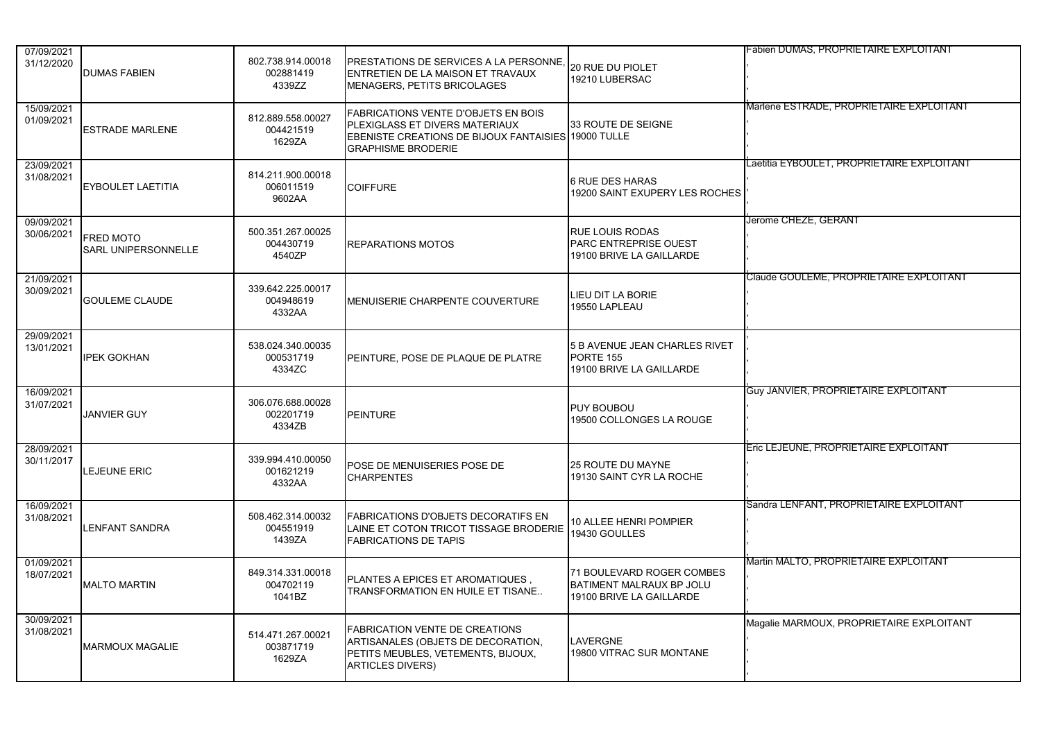| 07/09/2021               |                                  |                                          |                                                                                                                                                           |                                                                                          | Fabien DUMAS, PROPRIETAIRE EXPLOITANT        |
|--------------------------|----------------------------------|------------------------------------------|-----------------------------------------------------------------------------------------------------------------------------------------------------------|------------------------------------------------------------------------------------------|----------------------------------------------|
| 31/12/2020               | <b>DUMAS FABIEN</b>              | 802.738.914.00018<br>002881419<br>4339ZZ | PRESTATIONS DE SERVICES A LA PERSONNE.<br>ENTRETIEN DE LA MAISON ET TRAVAUX<br>MENAGERS, PETITS BRICOLAGES                                                | <b>20 RUE DU PIOLET</b><br>19210 LUBERSAC                                                |                                              |
| 15/09/2021<br>01/09/2021 | ESTRADE MARLENE                  | 812.889.558.00027<br>004421519<br>1629ZA | FABRICATIONS VENTE D'OBJETS EN BOIS<br>PLEXIGLASS ET DIVERS MATERIAUX<br>EBENISTE CREATIONS DE BIJOUX FANTAISIES 19000 TULLE<br><b>GRAPHISME BRODERIE</b> | 33 ROUTE DE SEIGNE                                                                       | Marlene ESTRADE, PROPRIETAIRE EXPLOITANT     |
| 23/09/2021<br>31/08/2021 | EYBOULET LAETITIA                | 814.211.900.00018<br>006011519<br>9602AA | <b>COIFFURE</b>                                                                                                                                           | <b>6 RUE DES HARAS</b><br>19200 SAINT EXUPERY LES ROCHES                                 | Laetitia EYBOULET, PROPRIETAIRE EXPLOITANT   |
| 09/09/2021<br>30/06/2021 | FRED MOTO<br>SARL UNIPERSONNELLE | 500.351.267.00025<br>004430719<br>4540ZP | <b>REPARATIONS MOTOS</b>                                                                                                                                  | <b>RUE LOUIS RODAS</b><br><b>PARC ENTREPRISE OUEST</b><br>19100 BRIVE LA GAILLARDE       | Jerome CHEZE, GERANT                         |
| 21/09/2021<br>30/09/2021 | <b>GOULEME CLAUDE</b>            | 339.642.225.00017<br>004948619<br>4332AA | MENUISERIE CHARPENTE COUVERTURE                                                                                                                           | LIEU DIT LA BORIE<br>19550 LAPLEAU                                                       | Claude GOULEME, PROPRIETAIRE EXPLOITANT      |
| 29/09/2021<br>13/01/2021 | <b>IPEK GOKHAN</b>               | 538.024.340.00035<br>000531719<br>4334ZC | PEINTURE, POSE DE PLAQUE DE PLATRE                                                                                                                        | 5 B AVENUE JEAN CHARLES RIVET<br>PORTE 155<br>19100 BRIVE LA GAILLARDE                   |                                              |
| 16/09/2021<br>31/07/2021 | <b>JANVIER GUY</b>               | 306.076.688.00028<br>002201719<br>4334ZB | <b>PEINTURE</b>                                                                                                                                           | <b>PUY BOUBOU</b><br>19500 COLLONGES LA ROUGE                                            | <b>Guy JANVIER, PROPRIETAIRE EXPLOITANT</b>  |
| 28/09/2021<br>30/11/2017 | LEJEUNE ERIC                     | 339.994.410.00050<br>001621219<br>4332AA | POSE DE MENUISERIES POSE DE<br><b>CHARPENTES</b>                                                                                                          | <b>25 ROUTE DU MAYNE</b><br>19130 SAINT CYR LA ROCHE                                     | <b>Eric LEJEUNE, PROPRIETAIRE EXPLOITANT</b> |
| 16/09/2021<br>31/08/2021 | LENFANT SANDRA                   | 508.462.314.00032<br>004551919<br>1439ZA | <b>FABRICATIONS D'OBJETS DECORATIFS EN</b><br>LAINE ET COTON TRICOT TISSAGE BRODERIE<br><b>FABRICATIONS DE TAPIS</b>                                      | 10 ALLEE HENRI POMPIER<br>19430 GOULLES                                                  | Sandra LENFANT, PROPRIETAIRE EXPLOITANT      |
| 01/09/2021<br>18/07/2021 | MALTO MARTIN                     | 849.314.331.00018<br>004702119<br>1041BZ | PLANTES A EPICES ET AROMATIQUES.<br>TRANSFORMATION EN HUILE ET TISANE                                                                                     | 71 BOULEVARD ROGER COMBES<br><b>BATIMENT MALRAUX BP JOLU</b><br>19100 BRIVE LA GAILLARDE | <b>Martin MALTO, PROPRIETAIRE EXPLOITANT</b> |
| 30/09/2021<br>31/08/2021 | <b>MARMOUX MAGALIE</b>           | 514.471.267.00021<br>003871719<br>1629ZA | <b>FABRICATION VENTE DE CREATIONS</b><br>ARTISANALES (OBJETS DE DECORATION,<br>PETITS MEUBLES, VETEMENTS, BIJOUX,<br><b>ARTICLES DIVERS)</b>              | LAVERGNE<br>19800 VITRAC SUR MONTANE                                                     | Magalie MARMOUX, PROPRIETAIRE EXPLOITANT     |